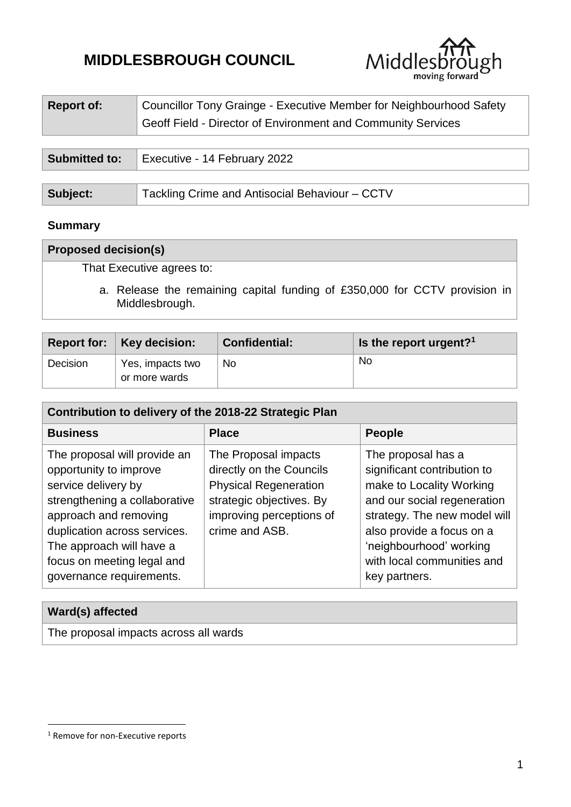# **MIDDLESBROUGH COUNCIL**



| <b>Report of:</b>    | Councillor Tony Grainge - Executive Member for Neighbourhood Safety |  |  |
|----------------------|---------------------------------------------------------------------|--|--|
|                      | Geoff Field - Director of Environment and Community Services        |  |  |
|                      |                                                                     |  |  |
| <b>Submitted to:</b> | Executive - 14 February 2022                                        |  |  |
|                      |                                                                     |  |  |
| Subject:             | Tackling Crime and Antisocial Behaviour - CCTV                      |  |  |

## **Summary**

# **Proposed decision(s)**

That Executive agrees to:

a. Release the remaining capital funding of £350,000 for CCTV provision in Middlesbrough.

|          | Report for: Key decision:         | <b>Confidential:</b> | Is the report urgent? <sup>1</sup> |
|----------|-----------------------------------|----------------------|------------------------------------|
| Decision | Yes, impacts two<br>or more wards | No.                  | No                                 |

| Contribution to delivery of the 2018-22 Strategic Plan                                                                                                                                                                                                        |                                                                                                                                                            |                                                                                                                                                                                                                                                     |  |  |  |  |
|---------------------------------------------------------------------------------------------------------------------------------------------------------------------------------------------------------------------------------------------------------------|------------------------------------------------------------------------------------------------------------------------------------------------------------|-----------------------------------------------------------------------------------------------------------------------------------------------------------------------------------------------------------------------------------------------------|--|--|--|--|
| <b>Business</b>                                                                                                                                                                                                                                               | <b>Place</b>                                                                                                                                               | <b>People</b>                                                                                                                                                                                                                                       |  |  |  |  |
| The proposal will provide an<br>opportunity to improve<br>service delivery by<br>strengthening a collaborative<br>approach and removing<br>duplication across services.<br>The approach will have a<br>focus on meeting legal and<br>governance requirements. | The Proposal impacts<br>directly on the Councils<br><b>Physical Regeneration</b><br>strategic objectives. By<br>improving perceptions of<br>crime and ASB. | The proposal has a<br>significant contribution to<br>make to Locality Working<br>and our social regeneration<br>strategy. The new model will<br>also provide a focus on a<br>'neighbourhood' working<br>with local communities and<br>key partners. |  |  |  |  |

| Ward(s) affected                      |  |
|---------------------------------------|--|
| The proposal impacts across all wards |  |

 $\ddot{\phantom{a}}$ 

<sup>&</sup>lt;sup>1</sup> Remove for non-Executive reports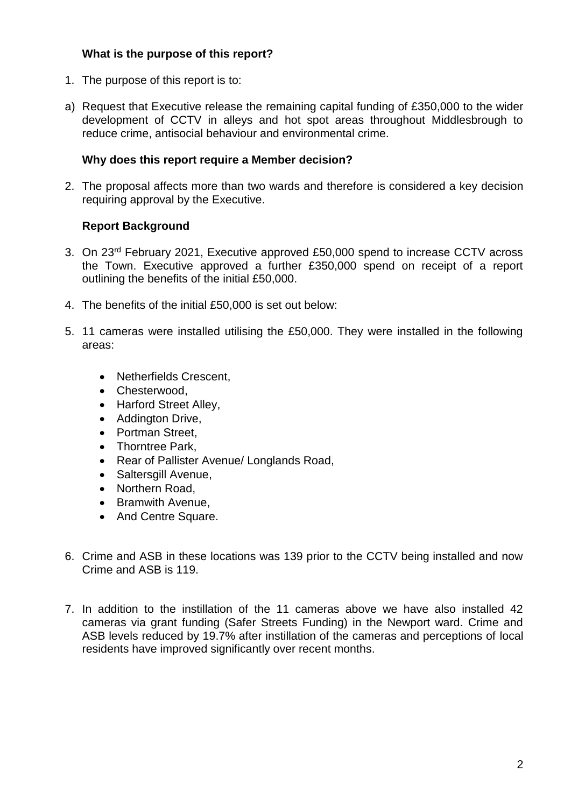# **What is the purpose of this report?**

- 1. The purpose of this report is to:
- a) Request that Executive release the remaining capital funding of £350,000 to the wider development of CCTV in alleys and hot spot areas throughout Middlesbrough to reduce crime, antisocial behaviour and environmental crime.

# **Why does this report require a Member decision?**

2. The proposal affects more than two wards and therefore is considered a key decision requiring approval by the Executive.

# **Report Background**

- 3. On 23rd February 2021, Executive approved £50,000 spend to increase CCTV across the Town. Executive approved a further £350,000 spend on receipt of a report outlining the benefits of the initial £50,000.
- 4. The benefits of the initial £50,000 is set out below:
- 5. 11 cameras were installed utilising the £50,000. They were installed in the following areas:
	- Netherfields Crescent,
	- Chesterwood.
	- Harford Street Alley,
	- Addington Drive,
	- Portman Street.
	- Thorntree Park,
	- Rear of Pallister Avenue/ Longlands Road,
	- Saltersgill Avenue,
	- Northern Road,
	- Bramwith Avenue,
	- And Centre Square.
- 6. Crime and ASB in these locations was 139 prior to the CCTV being installed and now Crime and ASB is 119.
- 7. In addition to the instillation of the 11 cameras above we have also installed 42 cameras via grant funding (Safer Streets Funding) in the Newport ward. Crime and ASB levels reduced by 19.7% after instillation of the cameras and perceptions of local residents have improved significantly over recent months.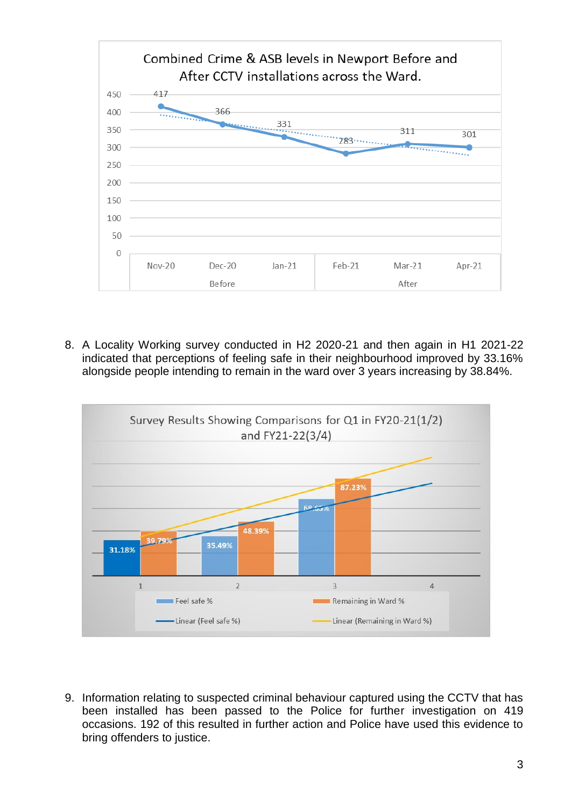

8. A Locality Working survey conducted in H2 2020-21 and then again in H1 2021-22 indicated that perceptions of feeling safe in their neighbourhood improved by 33.16% alongside people intending to remain in the ward over 3 years increasing by 38.84%.



9. Information relating to suspected criminal behaviour captured using the CCTV that has been installed has been passed to the Police for further investigation on 419 occasions. 192 of this resulted in further action and Police have used this evidence to bring offenders to justice.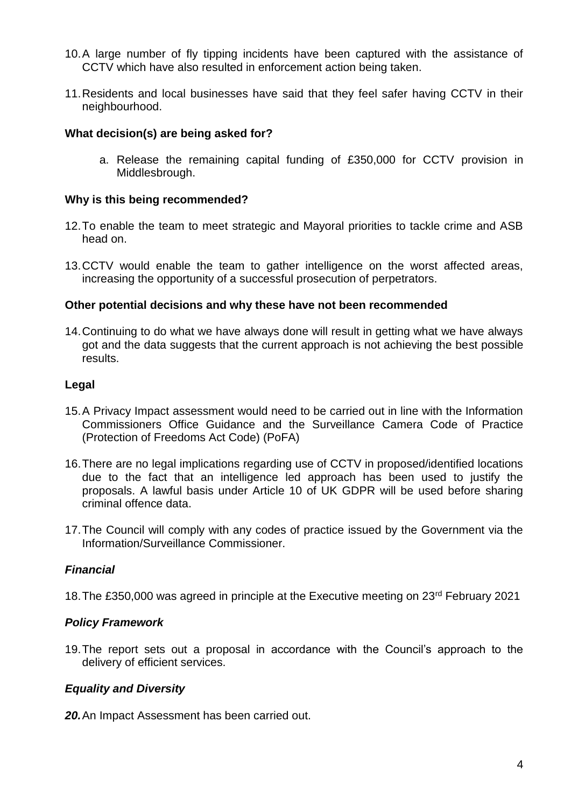- 10.A large number of fly tipping incidents have been captured with the assistance of CCTV which have also resulted in enforcement action being taken.
- 11.Residents and local businesses have said that they feel safer having CCTV in their neighbourhood.

## **What decision(s) are being asked for?**

a. Release the remaining capital funding of £350,000 for CCTV provision in Middlesbrough.

#### **Why is this being recommended?**

- 12.To enable the team to meet strategic and Mayoral priorities to tackle crime and ASB head on.
- 13.CCTV would enable the team to gather intelligence on the worst affected areas, increasing the opportunity of a successful prosecution of perpetrators.

#### **Other potential decisions and why these have not been recommended**

14.Continuing to do what we have always done will result in getting what we have always got and the data suggests that the current approach is not achieving the best possible results.

#### **Legal**

- 15.A Privacy Impact assessment would need to be carried out in line with the Information Commissioners Office Guidance and the Surveillance Camera Code of Practice (Protection of Freedoms Act Code) (PoFA)
- 16.There are no legal implications regarding use of CCTV in proposed/identified locations due to the fact that an intelligence led approach has been used to justify the proposals. A lawful basis under Article 10 of UK GDPR will be used before sharing criminal offence data.
- 17.The Council will comply with any codes of practice issued by the Government via the Information/Surveillance Commissioner.

#### *Financial*

18.The £350,000 was agreed in principle at the Executive meeting on 23rd February 2021

#### *Policy Framework*

19.The report sets out a proposal in accordance with the Council's approach to the delivery of efficient services.

#### *Equality and Diversity*

*20.*An Impact Assessment has been carried out.